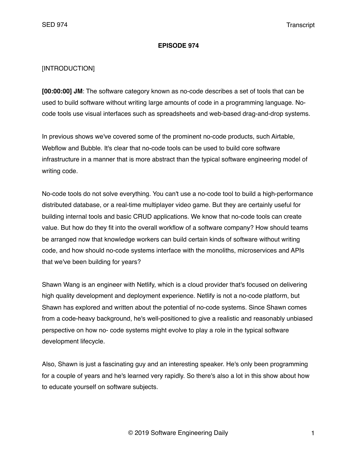#### **EPISODE 974**

# [INTRODUCTION]

**[00:00:00] JM**: The software category known as no-code describes a set of tools that can be used to build software without writing large amounts of code in a programming language. Nocode tools use visual interfaces such as spreadsheets and web-based drag-and-drop systems.

In previous shows we've covered some of the prominent no-code products, such Airtable, Webflow and Bubble. It's clear that no-code tools can be used to build core software infrastructure in a manner that is more abstract than the typical software engineering model of writing code.

No-code tools do not solve everything. You can't use a no-code tool to build a high-performance distributed database, or a real-time multiplayer video game. But they are certainly useful for building internal tools and basic CRUD applications. We know that no-code tools can create value. But how do they fit into the overall workflow of a software company? How should teams be arranged now that knowledge workers can build certain kinds of software without writing code, and how should no-code systems interface with the monoliths, microservices and APIs that we've been building for years?

Shawn Wang is an engineer with Netlify, which is a cloud provider that's focused on delivering high quality development and deployment experience. Netlify is not a no-code platform, but Shawn has explored and written about the potential of no-code systems. Since Shawn comes from a code-heavy background, he's well-positioned to give a realistic and reasonably unbiased perspective on how no- code systems might evolve to play a role in the typical software development lifecycle.

Also, Shawn is just a fascinating guy and an interesting speaker. He's only been programming for a couple of years and he's learned very rapidly. So there's also a lot in this show about how to educate yourself on software subjects.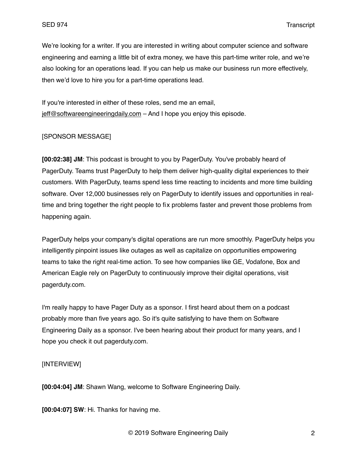We're looking for a writer. If you are interested in writing about computer science and software engineering and earning a little bit of extra money, we have this part-time writer role, and we're also looking for an operations lead. If you can help us make our business run more effectively, then we'd love to hire you for a part-time operations lead.

If you're interested in either of these roles, send me an email, [jeff@softwareengineeringdaily.com](mailto:jeff@softwareengineeringdaily.com) – And I hope you enjoy this episode.

# [SPONSOR MESSAGE]

**[00:02:38] JM**: This podcast is brought to you by PagerDuty. You've probably heard of PagerDuty. Teams trust PagerDuty to help them deliver high-quality digital experiences to their customers. With PagerDuty, teams spend less time reacting to incidents and more time building software. Over 12,000 businesses rely on PagerDuty to identify issues and opportunities in realtime and bring together the right people to fix problems faster and prevent those problems from happening again.

PagerDuty helps your company's digital operations are run more smoothly. PagerDuty helps you intelligently pinpoint issues like outages as well as capitalize on opportunities empowering teams to take the right real-time action. To see how companies like GE, Vodafone, Box and American Eagle rely on PagerDuty to continuously improve their digital operations, visit pagerduty.com.

I'm really happy to have Pager Duty as a sponsor. I first heard about them on a podcast probably more than five years ago. So it's quite satisfying to have them on Software Engineering Daily as a sponsor. I've been hearing about their product for many years, and I hope you check it out pagerduty.com.

# [INTERVIEW]

**[00:04:04] JM**: Shawn Wang, welcome to Software Engineering Daily.

**[00:04:07] SW**: Hi. Thanks for having me.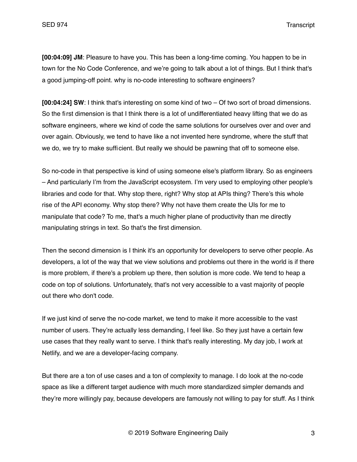**[00:04:09] JM**: Pleasure to have you. This has been a long-time coming. You happen to be in town for the No Code Conference, and we're going to talk about a lot of things. But I think that's a good jumping-off point. why is no-code interesting to software engineers?

**[00:04:24] SW**: I think that's interesting on some kind of two – Of two sort of broad dimensions. So the first dimension is that I think there is a lot of undifferentiated heavy lifting that we do as software engineers, where we kind of code the same solutions for ourselves over and over and over again. Obviously, we tend to have like a not invented here syndrome, where the stuff that we do, we try to make sufficient. But really we should be pawning that off to someone else.

So no-code in that perspective is kind of using someone else's platform library. So as engineers – And particularly I'm from the JavaScript ecosystem. I'm very used to employing other people's libraries and code for that. Why stop there, right? Why stop at APIs thing? There's this whole rise of the API economy. Why stop there? Why not have them create the UIs for me to manipulate that code? To me, that's a much higher plane of productivity than me directly manipulating strings in text. So that's the first dimension.

Then the second dimension is I think it's an opportunity for developers to serve other people. As developers, a lot of the way that we view solutions and problems out there in the world is if there is more problem, if there's a problem up there, then solution is more code. We tend to heap a code on top of solutions. Unfortunately, that's not very accessible to a vast majority of people out there who don't code.

If we just kind of serve the no-code market, we tend to make it more accessible to the vast number of users. They're actually less demanding, I feel like. So they just have a certain few use cases that they really want to serve. I think that's really interesting. My day job, I work at Netlify, and we are a developer-facing company.

But there are a ton of use cases and a ton of complexity to manage. I do look at the no-code space as like a different target audience with much more standardized simpler demands and they're more willingly pay, because developers are famously not willing to pay for stuff. As I think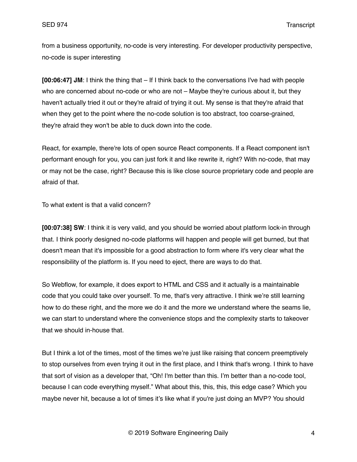from a business opportunity, no-code is very interesting. For developer productivity perspective, no-code is super interesting

**[00:06:47] JM**: I think the thing that – If I think back to the conversations I've had with people who are concerned about no-code or who are not – Maybe they're curious about it, but they haven't actually tried it out or they're afraid of trying it out. My sense is that they're afraid that when they get to the point where the no-code solution is too abstract, too coarse-grained, they're afraid they won't be able to duck down into the code.

React, for example, there're lots of open source React components. If a React component isn't performant enough for you, you can just fork it and like rewrite it, right? With no-code, that may or may not be the case, right? Because this is like close source proprietary code and people are afraid of that.

To what extent is that a valid concern?

**[00:07:38] SW**: I think it is very valid, and you should be worried about platform lock-in through that. I think poorly designed no-code platforms will happen and people will get burned, but that doesn't mean that it's impossible for a good abstraction to form where it's very clear what the responsibility of the platform is. If you need to eject, there are ways to do that.

So Webflow, for example, it does export to HTML and CSS and it actually is a maintainable code that you could take over yourself. To me, that's very attractive. I think we're still learning how to do these right, and the more we do it and the more we understand where the seams lie, we can start to understand where the convenience stops and the complexity starts to takeover that we should in-house that.

But I think a lot of the times, most of the times we're just like raising that concern preemptively to stop ourselves from even trying it out in the first place, and I think that's wrong. I think to have that sort of vision as a developer that, "Oh! I'm better than this. I'm better than a no-code tool, because I can code everything myself." What about this, this, this, this edge case? Which you maybe never hit, because a lot of times it's like what if you're just doing an MVP? You should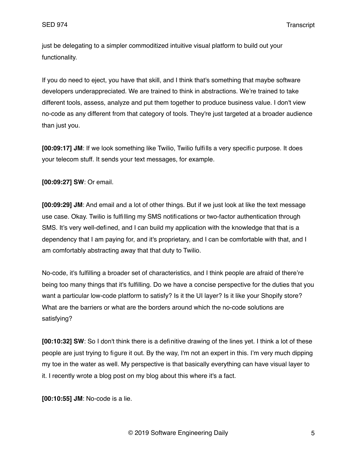just be delegating to a simpler commoditized intuitive visual platform to build out your functionality.

If you do need to eject, you have that skill, and I think that's something that maybe software developers underappreciated. We are trained to think in abstractions. We're trained to take different tools, assess, analyze and put them together to produce business value. I don't view no-code as any different from that category of tools. They're just targeted at a broader audience than just you.

**[00:09:17] JM**: If we look something like Twilio, Twilio fulfills a very specific purpose. It does your telecom stuff. It sends your text messages, for example.

**[00:09:27] SW**: Or email.

**[00:09:29] JM**: And email and a lot of other things. But if we just look at like the text message use case. Okay. Twilio is fulfilling my SMS notifications or two-factor authentication through SMS. It's very well-defined, and I can build my application with the knowledge that that is a dependency that I am paying for, and it's proprietary, and I can be comfortable with that, and I am comfortably abstracting away that that duty to Twilio.

No-code, it's fulfilling a broader set of characteristics, and I think people are afraid of there're being too many things that it's fulfilling. Do we have a concise perspective for the duties that you want a particular low-code platform to satisfy? Is it the UI layer? Is it like your Shopify store? What are the barriers or what are the borders around which the no-code solutions are satisfying?

**[00:10:32] SW**: So I don't think there is a definitive drawing of the lines yet. I think a lot of these people are just trying to figure it out. By the way, I'm not an expert in this. I'm very much dipping my toe in the water as well. My perspective is that basically everything can have visual layer to it. I recently wrote a blog post on my blog about this where it's a fact.

**[00:10:55] JM**: No-code is a lie.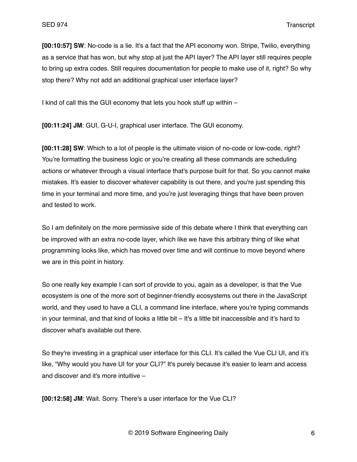**[00:10:57] SW**: No-code is a lie. It's a fact that the API economy won. Stripe, Twilio, everything as a service that has won, but why stop at just the API layer? The API layer still requires people to bring up extra codes. Still requires documentation for people to make use of it, right? So why stop there? Why not add an additional graphical user interface layer?

I kind of call this the GUI economy that lets you hook stuff up within –

**[00:11:24] JM**: GUI, G-U-I, graphical user interface. The GUI economy.

**[00:11:28] SW**: Which to a lot of people is the ultimate vision of no-code or low-code, right? You're formatting the business logic or you're creating all these commands are scheduling actions or whatever through a visual interface that's purpose built for that. So you cannot make mistakes. It's easier to discover whatever capability is out there, and you're just spending this time in your terminal and more time, and you're just leveraging things that have been proven and tested to work.

So I am definitely on the more permissive side of this debate where I think that everything can be improved with an extra no-code layer, which like we have this arbitrary thing of like what programming looks like, which has moved over time and will continue to move beyond where we are in this point in history.

So one really key example I can sort of provide to you, again as a developer, is that the Vue ecosystem is one of the more sort of beginner-friendly ecosystems out there in the JavaScript world, and they used to have a CLI, a command line interface, where you're typing commands in your terminal, and that kind of looks a little bit – It's a little bit inaccessible and it's hard to discover what's available out there.

So they're investing in a graphical user interface for this CLI. It's called the Vue CLI UI, and it's like, "Why would you have UI for your CLI?" It's purely because it's easier to learn and access and discover and it's more intuitive –

**[00:12:58] JM**: Wait. Sorry. There's a user interface for the Vue CLI?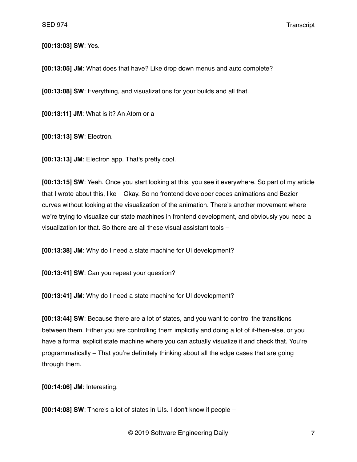**[00:13:03] SW**: Yes.

**[00:13:05] JM**: What does that have? Like drop down menus and auto complete?

**[00:13:08] SW**: Everything, and visualizations for your builds and all that.

**[00:13:11] JM**: What is it? An Atom or a –

**[00:13:13] SW**: Electron.

**[00:13:13] JM**: Electron app. That's pretty cool.

**[00:13:15] SW**: Yeah. Once you start looking at this, you see it everywhere. So part of my article that I wrote about this, like – Okay. So no frontend developer codes animations and Bezier curves without looking at the visualization of the animation. There's another movement where we're trying to visualize our state machines in frontend development, and obviously you need a visualization for that. So there are all these visual assistant tools –

**[00:13:38] JM**: Why do I need a state machine for UI development?

**[00:13:41] SW**: Can you repeat your question?

**[00:13:41] JM**: Why do I need a state machine for UI development?

**[00:13:44] SW**: Because there are a lot of states, and you want to control the transitions between them. Either you are controlling them implicitly and doing a lot of if-then-else, or you have a formal explicit state machine where you can actually visualize it and check that. You're programmatically – That you're definitely thinking about all the edge cases that are going through them.

**[00:14:06] JM**: Interesting.

**[00:14:08] SW**: There's a lot of states in UIs. I don't know if people –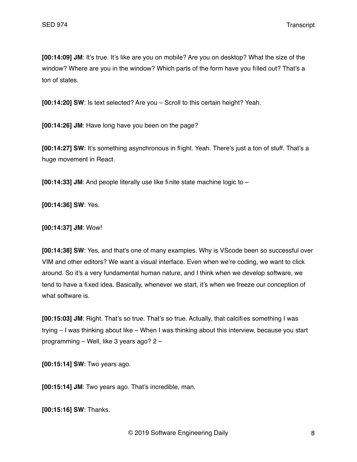**[00:14:09] JM**: It's true. It's like are you on mobile? Are you on desktop? What the size of the window? Where are you in the window? Which parts of the form have you filled out? That's a ton of states.

**[00:14:20] SW**: Is text selected? Are you – Scroll to this certain height? Yeah.

**[00:14:26] JM**: Have long have you been on the page?

**[00:14:27] SW**: It's something asynchronous in flight. Yeah. There's just a ton of stuff. That's a huge movement in React.

**[00:14:33] JM**: And people literally use like finite state machine logic to –

**[00:14:36] SW**: Yes.

**[00:14:37] JM**: Wow!

**[00:14:38] SW**: Yes, and that's one of many examples. Why is VScode been so successful over VIM and other editors? We want a visual interface. Even when we're coding, we want to click around. So it's a very fundamental human nature, and I think when we develop software, we tend to have a fixed idea. Basically, whenever we start, it's when we freeze our conception of what software is.

**[00:15:03] JM**: Right. That's so true. That's so true. Actually, that calcifies something I was trying – I was thinking about like – When I was thinking about this interview, because you start programming – Well, like 3 years ago? 2 –

**[00:15:14] SW**: Two years ago.

**[00:15:14] JM**: Two years ago. That's incredible, man.

**[00:15:16] SW**: Thanks.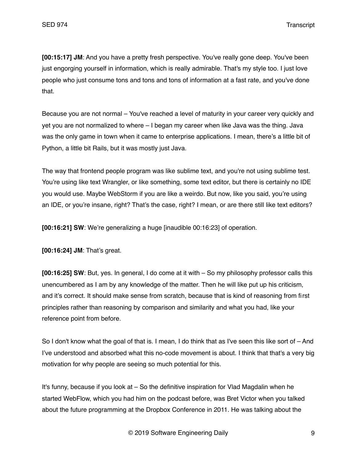**[00:15:17] JM**: And you have a pretty fresh perspective. You've really gone deep. You've been just engorging yourself in information, which is really admirable. That's my style too. I just love people who just consume tons and tons and tons of information at a fast rate, and you've done that.

Because you are not normal – You've reached a level of maturity in your career very quickly and yet you are not normalized to where – I began my career when like Java was the thing. Java was the only game in town when it came to enterprise applications. I mean, there's a little bit of Python, a little bit Rails, but it was mostly just Java.

The way that frontend people program was like sublime text, and you're not using sublime test. You're using like text Wrangler, or like something, some text editor, but there is certainly no IDE you would use. Maybe WebStorm if you are like a weirdo. But now, like you said, you're using an IDE, or you're insane, right? That's the case, right? I mean, or are there still like text editors?

**[00:16:21] SW**: We're generalizing a huge [inaudible 00:16:23] of operation.

**[00:16:24] JM**: That's great.

**[00:16:25] SW**: But, yes. In general, I do come at it with – So my philosophy professor calls this unencumbered as I am by any knowledge of the matter. Then he will like put up his criticism, and it's correct. It should make sense from scratch, because that is kind of reasoning from first principles rather than reasoning by comparison and similarity and what you had, like your reference point from before.

So I don't know what the goal of that is. I mean, I do think that as I've seen this like sort of – And I've understood and absorbed what this no-code movement is about. I think that that's a very big motivation for why people are seeing so much potential for this.

It's funny, because if you look at – So the definitive inspiration for Vlad Magdalin when he started WebFlow, which you had him on the podcast before, was Bret Victor when you talked about the future programming at the Dropbox Conference in 2011. He was talking about the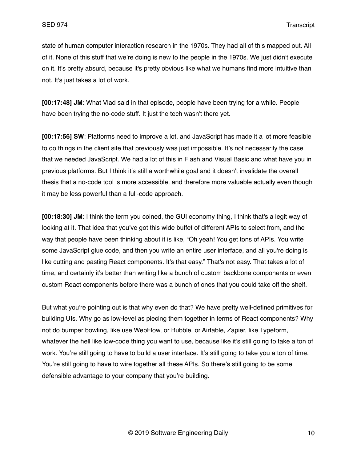state of human computer interaction research in the 1970s. They had all of this mapped out. All of it. None of this stuff that we're doing is new to the people in the 1970s. We just didn't execute on it. It's pretty absurd, because it's pretty obvious like what we humans find more intuitive than not. It's just takes a lot of work.

**[00:17:48] JM**: What Vlad said in that episode, people have been trying for a while. People have been trying the no-code stuff. It just the tech wasn't there yet.

**[00:17:56] SW**: Platforms need to improve a lot, and JavaScript has made it a lot more feasible to do things in the client site that previously was just impossible. It's not necessarily the case that we needed JavaScript. We had a lot of this in Flash and Visual Basic and what have you in previous platforms. But I think it's still a worthwhile goal and it doesn't invalidate the overall thesis that a no-code tool is more accessible, and therefore more valuable actually even though it may be less powerful than a full-code approach.

**[00:18:30] JM**: I think the term you coined, the GUI economy thing, I think that's a legit way of looking at it. That idea that you've got this wide buffet of different APIs to select from, and the way that people have been thinking about it is like, "Oh yeah! You get tons of APIs. You write some JavaScript glue code, and then you write an entire user interface, and all you're doing is like cutting and pasting React components. It's that easy." That's not easy. That takes a lot of time, and certainly it's better than writing like a bunch of custom backbone components or even custom React components before there was a bunch of ones that you could take off the shelf.

But what you're pointing out is that why even do that? We have pretty well-defined primitives for building UIs. Why go as low-level as piecing them together in terms of React components? Why not do bumper bowling, like use WebFlow, or Bubble, or Airtable, Zapier, like Typeform, whatever the hell like low-code thing you want to use, because like it's still going to take a ton of work. You're still going to have to build a user interface. It's still going to take you a ton of time. You're still going to have to wire together all these APIs. So there's still going to be some defensible advantage to your company that you're building.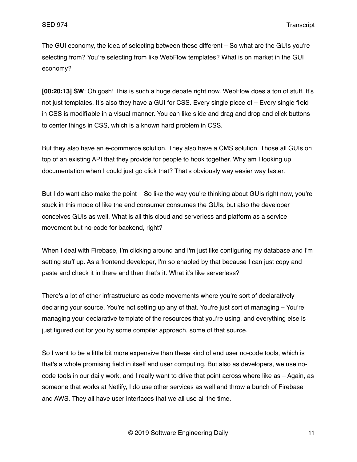The GUI economy, the idea of selecting between these different – So what are the GUIs you're selecting from? You're selecting from like WebFlow templates? What is on market in the GUI economy?

**[00:20:13] SW**: Oh gosh! This is such a huge debate right now. WebFlow does a ton of stuff. It's not just templates. It's also they have a GUI for CSS. Every single piece of – Every single field in CSS is modifiable in a visual manner. You can like slide and drag and drop and click buttons to center things in CSS, which is a known hard problem in CSS.

But they also have an e-commerce solution. They also have a CMS solution. Those all GUIs on top of an existing API that they provide for people to hook together. Why am I looking up documentation when I could just go click that? That's obviously way easier way faster.

But I do want also make the point – So like the way you're thinking about GUIs right now, you're stuck in this mode of like the end consumer consumes the GUIs, but also the developer conceives GUIs as well. What is all this cloud and serverless and platform as a service movement but no-code for backend, right?

When I deal with Firebase, I'm clicking around and I'm just like configuring my database and I'm setting stuff up. As a frontend developer, I'm so enabled by that because I can just copy and paste and check it in there and then that's it. What it's like serverless?

There's a lot of other infrastructure as code movements where you're sort of declaratively declaring your source. You're not setting up any of that. You're just sort of managing – You're managing your declarative template of the resources that you're using, and everything else is just figured out for you by some compiler approach, some of that source.

So I want to be a little bit more expensive than these kind of end user no-code tools, which is that's a whole promising field in itself and user computing. But also as developers, we use nocode tools in our daily work, and I really want to drive that point across where like as – Again, as someone that works at Netlify, I do use other services as well and throw a bunch of Firebase and AWS. They all have user interfaces that we all use all the time.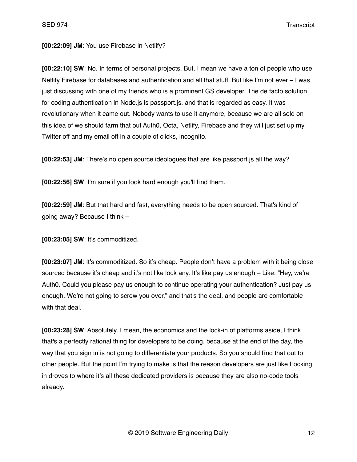#### **[00:22:09] JM**: You use Firebase in Netlify?

**[00:22:10] SW**: No. In terms of personal projects. But, I mean we have a ton of people who use Netlify Firebase for databases and authentication and all that stuff. But like I'm not ever – I was just discussing with one of my friends who is a prominent GS developer. The de facto solution for coding authentication in Node.js is passport.js, and that is regarded as easy. It was revolutionary when it came out. Nobody wants to use it anymore, because we are all sold on this idea of we should farm that out Auth0, Octa, Netlify, Firebase and they will just set up my Twitter off and my email off in a couple of clicks, incognito.

**[00:22:53] JM**: There's no open source ideologues that are like passport.js all the way?

**[00:22:56] SW**: I'm sure if you look hard enough you'll find them.

**[00:22:59] JM**: But that hard and fast, everything needs to be open sourced. That's kind of going away? Because I think –

**[00:23:05] SW**: It's commoditized.

**[00:23:07] JM**: It's commoditized. So it's cheap. People don't have a problem with it being close sourced because it's cheap and it's not like lock any. It's like pay us enough – Like, "Hey, we're Auth0. Could you please pay us enough to continue operating your authentication? Just pay us enough. We're not going to screw you over," and that's the deal, and people are comfortable with that deal.

**[00:23:28] SW**: Absolutely. I mean, the economics and the lock-in of platforms aside, I think that's a perfectly rational thing for developers to be doing, because at the end of the day, the way that you sign in is not going to differentiate your products. So you should find that out to other people. But the point I'm trying to make is that the reason developers are just like flocking in droves to where it's all these dedicated providers is because they are also no-code tools already.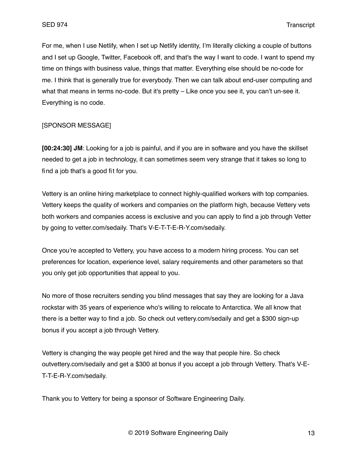For me, when I use Netlify, when I set up Netlify identity, I'm literally clicking a couple of buttons and I set up Google, Twitter, Facebook off, and that's the way I want to code. I want to spend my time on things with business value, things that matter. Everything else should be no-code for me. I think that is generally true for everybody. Then we can talk about end-user computing and what that means in terms no-code. But it's pretty – Like once you see it, you can't un-see it. Everything is no code.

# [SPONSOR MESSAGE]

**[00:24:30] JM**: Looking for a job is painful, and if you are in software and you have the skillset needed to get a job in technology, it can sometimes seem very strange that it takes so long to find a job that's a good fit for you.

Vettery is an online hiring marketplace to connect highly-qualified workers with top companies. Vettery keeps the quality of workers and companies on the platform high, because Vettery vets both workers and companies access is exclusive and you can apply to find a job through Vetter by going to vetter.com/sedaily. That's V-E-T-T-E-R-Y.com/sedaily.

Once you're accepted to Vettery, you have access to a modern hiring process. You can set preferences for location, experience level, salary requirements and other parameters so that you only get job opportunities that appeal to you.

No more of those recruiters sending you blind messages that say they are looking for a Java rockstar with 35 years of experience who's willing to relocate to Antarctica. We all know that there is a better way to find a job. So check out vettery.com/sedaily and get a \$300 sign-up bonus if you accept a job through Vettery.

Vettery is changing the way people get hired and the way that people hire. So check outvettery.com/sedaily and get a \$300 at bonus if you accept a job through Vettery. That's V-E-T-T-E-R-Y.com/sedaily.

Thank you to Vettery for being a sponsor of Software Engineering Daily.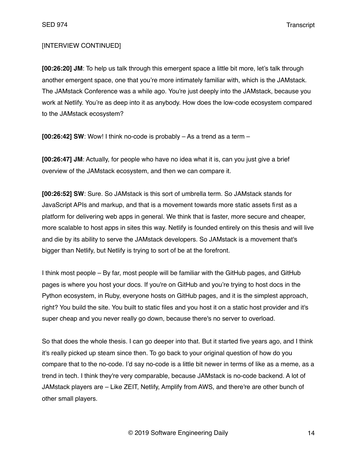# [INTERVIEW CONTINUED]

**[00:26:20] JM**: To help us talk through this emergent space a little bit more, let's talk through another emergent space, one that you're more intimately familiar with, which is the JAMstack. The JAMstack Conference was a while ago. You're just deeply into the JAMstack, because you work at Netlify. You're as deep into it as anybody. How does the low-code ecosystem compared to the JAMstack ecosystem?

**[00:26:42] SW**: Wow! I think no-code is probably – As a trend as a term –

**[00:26:47] JM**: Actually, for people who have no idea what it is, can you just give a brief overview of the JAMstack ecosystem, and then we can compare it.

**[00:26:52] SW**: Sure. So JAMstack is this sort of umbrella term. So JAMstack stands for JavaScript APIs and markup, and that is a movement towards more static assets first as a platform for delivering web apps in general. We think that is faster, more secure and cheaper, more scalable to host apps in sites this way. Netlify is founded entirely on this thesis and will live and die by its ability to serve the JAMstack developers. So JAMstack is a movement that's bigger than Netlify, but Netlify is trying to sort of be at the forefront.

I think most people – By far, most people will be familiar with the GitHub pages, and GitHub pages is where you host your docs. If you're on GitHub and you're trying to host docs in the Python ecosystem, in Ruby, everyone hosts on GitHub pages, and it is the simplest approach, right? You build the site. You built to static files and you host it on a static host provider and it's super cheap and you never really go down, because there's no server to overload.

So that does the whole thesis. I can go deeper into that. But it started five years ago, and I think it's really picked up steam since then. To go back to your original question of how do you compare that to the no-code. I'd say no-code is a little bit newer in terms of like as a meme, as a trend in tech. I think they're very comparable, because JAMstack is no-code backend. A lot of JAMstack players are – Like ZEIT, Netlify, Amplify from AWS, and there're are other bunch of other small players.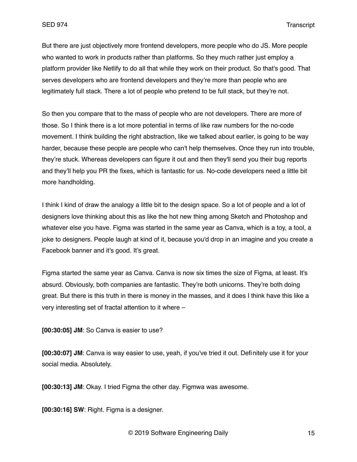But there are just objectively more frontend developers, more people who do JS. More people who wanted to work in products rather than platforms. So they much rather just employ a platform provider like Netlify to do all that while they work on their product. So that's good. That serves developers who are frontend developers and they're more than people who are legitimately full stack. There a lot of people who pretend to be full stack, but they're not.

So then you compare that to the mass of people who are not developers. There are more of those. So I think there is a lot more potential in terms of like raw numbers for the no-code movement. I think building the right abstraction, like we talked about earlier, is going to be way harder, because these people are people who can't help themselves. Once they run into trouble, they're stuck. Whereas developers can figure it out and then they'll send you their bug reports and they'll help you PR the fixes, which is fantastic for us. No-code developers need a little bit more handholding.

I think I kind of draw the analogy a little bit to the design space. So a lot of people and a lot of designers love thinking about this as like the hot new thing among Sketch and Photoshop and whatever else you have. Figma was started in the same year as Canva, which is a toy, a tool, a joke to designers. People laugh at kind of it, because you'd drop in an imagine and you create a Facebook banner and it's good. It's great.

Figma started the same year as Canva. Canva is now six times the size of Figma, at least. It's absurd. Obviously, both companies are fantastic. They're both unicorns. They're both doing great. But there is this truth in there is money in the masses, and it does I think have this like a very interesting set of fractal attention to it where –

**[00:30:05] JM**: So Canva is easier to use?

**[00:30:07] JM**: Canva is way easier to use, yeah, if you've tried it out. Definitely use it for your social media. Absolutely.

**[00:30:13] JM**: Okay. I tried Figma the other day. Figmwa was awesome.

**[00:30:16] SW**: Right. Figma is a designer.

© 2019 Software Engineering Daily 15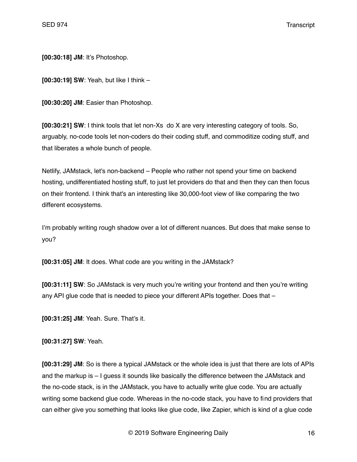**[00:30:18] JM**: It's Photoshop.

**[00:30:19] SW**: Yeah, but like I think –

**[00:30:20] JM**: Easier than Photoshop.

**[00:30:21] SW**: I think tools that let non-Xs do X are very interesting category of tools. So, arguably, no-code tools let non-coders do their coding stuff, and commoditize coding stuff, and that liberates a whole bunch of people.

Netlify, JAMstack, let's non-backend – People who rather not spend your time on backend hosting, undifferentiated hosting stuff, to just let providers do that and then they can then focus on their frontend. I think that's an interesting like 30,000-foot view of like comparing the two different ecosystems.

I'm probably writing rough shadow over a lot of different nuances. But does that make sense to you?

**[00:31:05] JM**: It does. What code are you writing in the JAMstack?

**[00:31:11] SW**: So JAMstack is very much you're writing your frontend and then you're writing any API glue code that is needed to piece your different APIs together. Does that –

**[00:31:25] JM**: Yeah. Sure. That's it.

**[00:31:27] SW**: Yeah.

**[00:31:29] JM**: So is there a typical JAMstack or the whole idea is just that there are lots of APIs and the markup is – I guess it sounds like basically the difference between the JAMstack and the no-code stack, is in the JAMstack, you have to actually write glue code. You are actually writing some backend glue code. Whereas in the no-code stack, you have to find providers that can either give you something that looks like glue code, like Zapier, which is kind of a glue code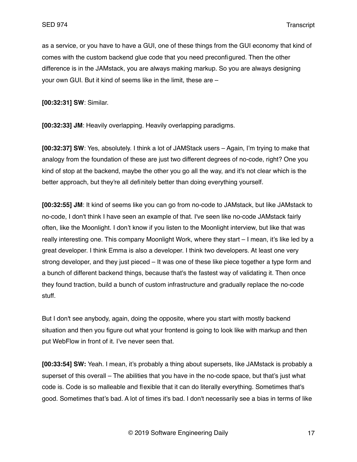as a service, or you have to have a GUI, one of these things from the GUI economy that kind of comes with the custom backend glue code that you need preconfigured. Then the other difference is in the JAMstack, you are always making markup. So you are always designing your own GUI. But it kind of seems like in the limit, these are –

**[00:32:31] SW**: Similar.

**[00:32:33] JM**: Heavily overlapping. Heavily overlapping paradigms.

**[00:32:37] SW**: Yes, absolutely. I think a lot of JAMStack users – Again, I'm trying to make that analogy from the foundation of these are just two different degrees of no-code, right? One you kind of stop at the backend, maybe the other you go all the way, and it's not clear which is the better approach, but they're all definitely better than doing everything yourself.

**[00:32:55] JM**: It kind of seems like you can go from no-code to JAMstack, but like JAMstack to no-code, I don't think I have seen an example of that. I've seen like no-code JAMstack fairly often, like the Moonlight. I don't know if you listen to the Moonlight interview, but like that was really interesting one. This company Moonlight Work, where they start – I mean, it's like led by a great developer. I think Emma is also a developer. I think two developers. At least one very strong developer, and they just pieced – It was one of these like piece together a type form and a bunch of different backend things, because that's the fastest way of validating it. Then once they found traction, build a bunch of custom infrastructure and gradually replace the no-code stuff.

But I don't see anybody, again, doing the opposite, where you start with mostly backend situation and then you figure out what your frontend is going to look like with markup and then put WebFlow in front of it. I've never seen that.

**[00:33:54] SW:** Yeah. I mean, it's probably a thing about supersets, like JAMstack is probably a superset of this overall – The abilities that you have in the no-code space, but that's just what code is. Code is so malleable and flexible that it can do literally everything. Sometimes that's good. Sometimes that's bad. A lot of times it's bad. I don't necessarily see a bias in terms of like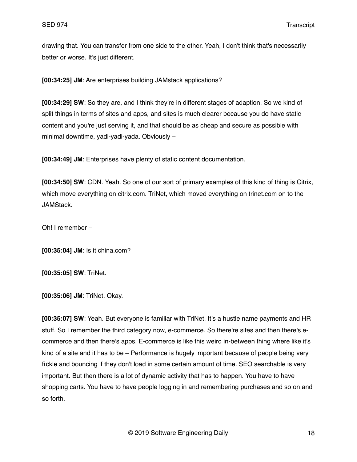drawing that. You can transfer from one side to the other. Yeah, I don't think that's necessarily better or worse. It's just different.

**[00:34:25] JM**: Are enterprises building JAMstack applications?

**[00:34:29] SW**: So they are, and I think they're in different stages of adaption. So we kind of split things in terms of sites and apps, and sites is much clearer because you do have static content and you're just serving it, and that should be as cheap and secure as possible with minimal downtime, yadi-yadi-yada. Obviously –

**[00:34:49] JM**: Enterprises have plenty of static content documentation.

**[00:34:50] SW**: CDN. Yeah. So one of our sort of primary examples of this kind of thing is Citrix, which move everything on citrix.com. TriNet, which moved everything on trinet.com on to the JAMStack.

Oh! I remember –

**[00:35:04] JM**: Is it china.com?

**[00:35:05] SW**: TriNet.

**[00:35:06] JM**: TriNet. Okay.

**[00:35:07] SW**: Yeah. But everyone is familiar with TriNet. It's a hustle name payments and HR stuff. So I remember the third category now, e-commerce. So there're sites and then there's ecommerce and then there's apps. E-commerce is like this weird in-between thing where like it's kind of a site and it has to be – Performance is hugely important because of people being very fickle and bouncing if they don't load in some certain amount of time. SEO searchable is very important. But then there is a lot of dynamic activity that has to happen. You have to have shopping carts. You have to have people logging in and remembering purchases and so on and so forth.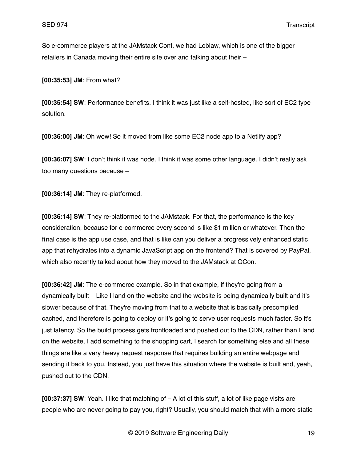So e-commerce players at the JAMstack Conf, we had Loblaw, which is one of the bigger retailers in Canada moving their entire site over and talking about their –

**[00:35:53] JM**: From what?

**[00:35:54] SW**: Performance benefits. I think it was just like a self-hosted, like sort of EC2 type solution.

**[00:36:00] JM**: Oh wow! So it moved from like some EC2 node app to a Netlify app?

**[00:36:07] SW**: I don't think it was node. I think it was some other language. I didn't really ask too many questions because –

**[00:36:14] JM**: They re-platformed.

**[00:36:14] SW**: They re-platformed to the JAMstack. For that, the performance is the key consideration, because for e-commerce every second is like \$1 million or whatever. Then the final case is the app use case, and that is like can you deliver a progressively enhanced static app that rehydrates into a dynamic JavaScript app on the frontend? That is covered by PayPal, which also recently talked about how they moved to the JAMstack at QCon.

**[00:36:42] JM**: The e-commerce example. So in that example, if they're going from a dynamically built – Like I land on the website and the website is being dynamically built and it's slower because of that. They're moving from that to a website that is basically precompiled cached, and therefore is going to deploy or it's going to serve user requests much faster. So it's just latency. So the build process gets frontloaded and pushed out to the CDN, rather than I land on the website, I add something to the shopping cart, I search for something else and all these things are like a very heavy request response that requires building an entire webpage and sending it back to you. Instead, you just have this situation where the website is built and, yeah, pushed out to the CDN.

**[00:37:37] SW**: Yeah. I like that matching of – A lot of this stuff, a lot of like page visits are people who are never going to pay you, right? Usually, you should match that with a more static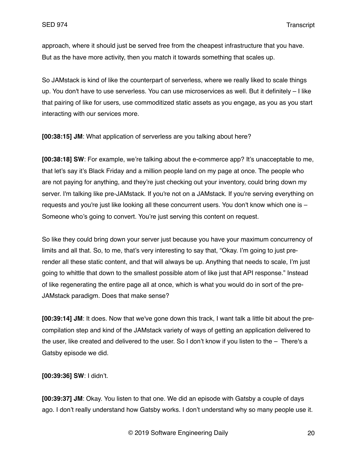approach, where it should just be served free from the cheapest infrastructure that you have. But as the have more activity, then you match it towards something that scales up.

So JAMstack is kind of like the counterpart of serverless, where we really liked to scale things up. You don't have to use serverless. You can use microservices as well. But it definitely – I like that pairing of like for users, use commoditized static assets as you engage, as you as you start interacting with our services more.

**[00:38:15] JM**: What application of serverless are you talking about here?

**[00:38:18] SW**: For example, we're talking about the e-commerce app? It's unacceptable to me, that let's say it's Black Friday and a million people land on my page at once. The people who are not paying for anything, and they're just checking out your inventory, could bring down my server. I'm talking like pre-JAMstack. If you're not on a JAMstack. If you're serving everything on requests and you're just like looking all these concurrent users. You don't know which one is – Someone who's going to convert. You're just serving this content on request.

So like they could bring down your server just because you have your maximum concurrency of limits and all that. So, to me, that's very interesting to say that, "Okay. I'm going to just prerender all these static content, and that will always be up. Anything that needs to scale, I'm just going to whittle that down to the smallest possible atom of like just that API response." Instead of like regenerating the entire page all at once, which is what you would do in sort of the pre-JAMstack paradigm. Does that make sense?

**[00:39:14] JM**: It does. Now that we've gone down this track, I want talk a little bit about the precompilation step and kind of the JAMstack variety of ways of getting an application delivered to the user, like created and delivered to the user. So I don't know if you listen to the – There's a Gatsby episode we did.

**[00:39:36] SW**: I didn't.

**[00:39:37] JM**: Okay. You listen to that one. We did an episode with Gatsby a couple of days ago. I don't really understand how Gatsby works. I don't understand why so many people use it.

© 2019 Software Engineering Daily 20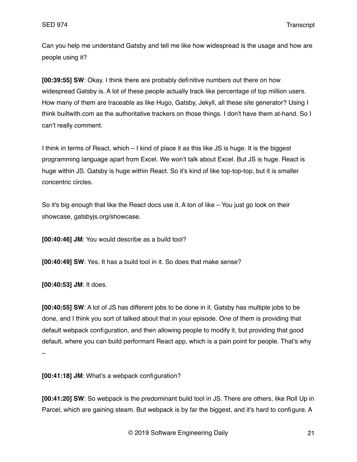Can you help me understand Gatsby and tell me like how widespread is the usage and how are people using it?

**[00:39:55] SW**: Okay. I think there are probably definitive numbers out there on how widespread Gatsby is. A lot of these people actually track like percentage of top million users. How many of them are traceable as like Hugo, Gatsby, Jekyll, all these site generator? Using I think builtwith.com as the authoritative trackers on those things. I don't have them at-hand. So I can't really comment.

I think in terms of React, which – I kind of place it as this like JS is huge. It is the biggest programming language apart from Excel. We won't talk about Excel. But JS is huge. React is huge within JS. Gatsby is huge within React. So it's kind of like top-top-top, but it is smaller concentric circles.

So it's big enough that like the React docs use it. A ton of like – You just go look on their showcase, gatsbyjs.org/showcase.

**[00:40:46] JM**: You would describe as a build tool?

**[00:40:49] SW**: Yes. It has a build tool in it. So does that make sense?

**[00:40:53] JM**: It does.

**[00:40:55] SW**: A lot of JS has different jobs to be done in it. Gatsby has multiple jobs to be done, and I think you sort of talked about that in your episode. One of them is providing that default webpack configuration, and then allowing people to modify it, but providing that good default, where you can build performant React app, which is a pain point for people. That's why –

**[00:41:18] JM**: What's a webpack configuration?

**[00:41:20] SW**: So webpack is the predominant build tool in JS. There are others, like Roll Up in Parcel, which are gaining steam. But webpack is by far the biggest, and it's hard to configure. A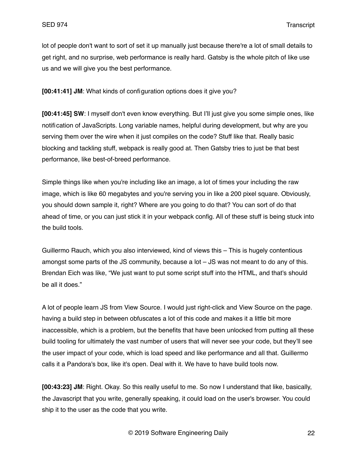lot of people don't want to sort of set it up manually just because there're a lot of small details to get right, and no surprise, web performance is really hard. Gatsby is the whole pitch of like use us and we will give you the best performance.

**[00:41:41] JM**: What kinds of configuration options does it give you?

**[00:41:45] SW**: I myself don't even know everything. But I'll just give you some simple ones, like notification of JavaScripts. Long variable names, helpful during development, but why are you serving them over the wire when it just compiles on the code? Stuff like that. Really basic blocking and tackling stuff, webpack is really good at. Then Gatsby tries to just be that best performance, like best-of-breed performance.

Simple things like when you're including like an image, a lot of times your including the raw image, which is like 60 megabytes and you're serving you in like a 200 pixel square. Obviously, you should down sample it, right? Where are you going to do that? You can sort of do that ahead of time, or you can just stick it in your webpack config. All of these stuff is being stuck into the build tools.

Guillermo Rauch, which you also interviewed, kind of views this – This is hugely contentious amongst some parts of the JS community, because a lot – JS was not meant to do any of this. Brendan Eich was like, "We just want to put some script stuff into the HTML, and that's should be all it does."

A lot of people learn JS from View Source. I would just right-click and View Source on the page. having a build step in between obfuscates a lot of this code and makes it a little bit more inaccessible, which is a problem, but the benefits that have been unlocked from putting all these build tooling for ultimately the vast number of users that will never see your code, but they'll see the user impact of your code, which is load speed and like performance and all that. Guillermo calls it a Pandora's box, like it's open. Deal with it. We have to have build tools now.

**[00:43:23] JM**: Right. Okay. So this really useful to me. So now I understand that like, basically, the Javascript that you write, generally speaking, it could load on the user's browser. You could ship it to the user as the code that you write.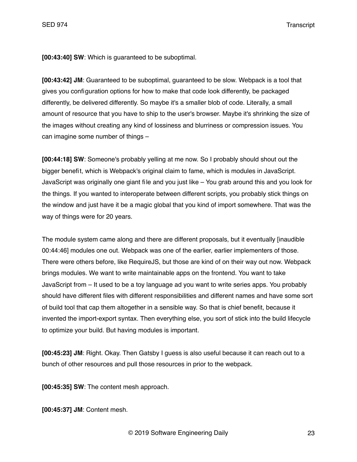**[00:43:40] SW**: Which is guaranteed to be suboptimal.

**[00:43:42] JM**: Guaranteed to be suboptimal, guaranteed to be slow. Webpack is a tool that gives you configuration options for how to make that code look differently, be packaged differently, be delivered differently. So maybe it's a smaller blob of code. Literally, a small amount of resource that you have to ship to the user's browser. Maybe it's shrinking the size of the images without creating any kind of lossiness and blurriness or compression issues. You can imagine some number of things –

**[00:44:18] SW**: Someone's probably yelling at me now. So I probably should shout out the bigger benefit, which is Webpack's original claim to fame, which is modules in JavaScript. JavaScript was originally one giant file and you just like – You grab around this and you look for the things. If you wanted to interoperate between different scripts, you probably stick things on the window and just have it be a magic global that you kind of import somewhere. That was the way of things were for 20 years.

The module system came along and there are different proposals, but it eventually [inaudible 00:44:46] modules one out. Webpack was one of the earlier, earlier implementers of those. There were others before, like RequireJS, but those are kind of on their way out now. Webpack brings modules. We want to write maintainable apps on the frontend. You want to take JavaScript from – It used to be a toy language ad you want to write series apps. You probably should have different files with different responsibilities and different names and have some sort of build tool that cap them altogether in a sensible way. So that is chief benefit, because it invented the import-export syntax. Then everything else, you sort of stick into the build lifecycle to optimize your build. But having modules is important.

**[00:45:23] JM**: Right. Okay. Then Gatsby I guess is also useful because it can reach out to a bunch of other resources and pull those resources in prior to the webpack.

**[00:45:35] SW**: The content mesh approach.

**[00:45:37] JM**: Content mesh.

© 2019 Software Engineering Daily 23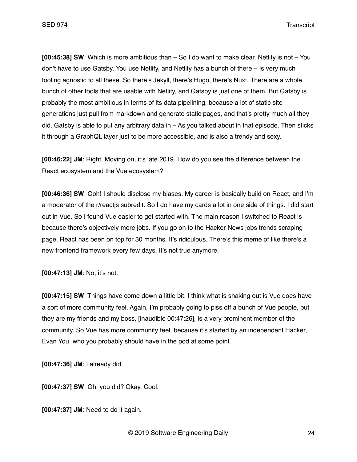**[00:45:38] SW**: Which is more ambitious than – So I do want to make clear. Netlify is not – You don't have to use Gatsby. You use Netlify, and Netlify has a bunch of there – Is very much tooling agnostic to all these. So there's Jekyll, there's Hugo, there's Nuxt. There are a whole bunch of other tools that are usable with Netlify, and Gatsby is just one of them. But Gatsby is probably the most ambitious in terms of its data pipelining, because a lot of static site generations just pull from markdown and generate static pages, and that's pretty much all they did. Gatsby is able to put any arbitrary data in – As you talked about in that episode. Then sticks it through a GraphQL layer just to be more accessible, and is also a trendy and sexy.

**[00:46:22] JM**: Right. Moving on, it's late 2019. How do you see the difference between the React ecosystem and the Vue ecosystem?

**[00:46:36] SW**: Ooh! I should disclose my biases. My career is basically build on React, and I'm a moderator of the r/reactjs subredit. So I do have my cards a lot in one side of things. I did start out in Vue. So I found Vue easier to get started with. The main reason I switched to React is because there's objectively more jobs. If you go on to the Hacker News jobs trends scraping page, React has been on top for 30 months. It's ridiculous. There's this meme of like there's a new frontend framework every few days. It's not true anymore.

**[00:47:13] JM**: No, it's not.

**[00:47:15] SW**: Things have come down a little bit. I think what is shaking out is Vue does have a sort of more community feel. Again, I'm probably going to piss off a bunch of Vue people, but they are my friends and my boss, [inaudible 00:47:26], is a very prominent member of the community. So Vue has more community feel, because it's started by an independent Hacker, Evan You, who you probably should have in the pod at some point.

**[00:47:36] JM**: I already did.

**[00:47:37] SW**: Oh, you did? Okay. Cool.

**[00:47:37] JM**: Need to do it again.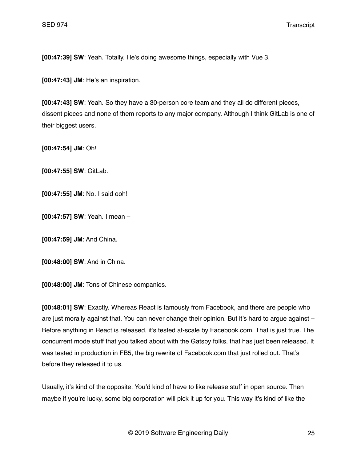**[00:47:39] SW**: Yeah. Totally. He's doing awesome things, especially with Vue 3.

**[00:47:43] JM**: He's an inspiration.

**[00:47:43] SW**: Yeah. So they have a 30-person core team and they all do different pieces, dissent pieces and none of them reports to any major company. Although I think GitLab is one of their biggest users.

**[00:47:54] JM**: Oh!

**[00:47:55] SW**: GitLab.

**[00:47:55] JM**: No. I said ooh!

**[00:47:57] SW**: Yeah. I mean –

**[00:47:59] JM**: And China.

**[00:48:00] SW**: And in China.

**[00:48:00] JM**: Tons of Chinese companies.

**[00:48:01] SW**: Exactly. Whereas React is famously from Facebook, and there are people who are just morally against that. You can never change their opinion. But it's hard to argue against – Before anything in React is released, it's tested at-scale by Facebook.com. That is just true. The concurrent mode stuff that you talked about with the Gatsby folks, that has just been released. It was tested in production in FB5, the big rewrite of Facebook.com that just rolled out. That's before they released it to us.

Usually, it's kind of the opposite. You'd kind of have to like release stuff in open source. Then maybe if you're lucky, some big corporation will pick it up for you. This way it's kind of like the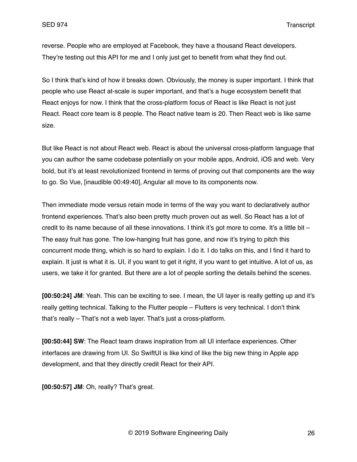reverse. People who are employed at Facebook, they have a thousand React developers. They're testing out this API for me and I only just get to benefit from what they find out.

So I think that's kind of how it breaks down. Obviously, the money is super important. I think that people who use React at-scale is super important, and that's a huge ecosystem benefit that React enjoys for now. I think that the cross-platform focus of React is like React is not just React. React core team is 8 people. The React native team is 20. Then React web is like same size.

But like React is not about React web. React is about the universal cross-platform language that you can author the same codebase potentially on your mobile apps, Android, iOS and web. Very bold, but it's at least revolutionized frontend in terms of proving out that components are the way to go. So Vue, [inaudible 00:49:40], Angular all move to its components now.

Then immediate mode versus retain mode in terms of the way you want to declaratively author frontend experiences. That's also been pretty much proven out as well. So React has a lot of credit to its name because of all these innovations. I think it's got more to come. It's a little bit – The easy fruit has gone. The low-hanging fruit has gone, and now it's trying to pitch this concurrent mode thing, which is so hard to explain. I do it. I do talks on this, and I find it hard to explain. It just is what it is. UI, if you want to get it right, if you want to get intuitive. A lot of us, as users, we take it for granted. But there are a lot of people sorting the details behind the scenes.

**[00:50:24] JM**: Yeah. This can be exciting to see. I mean, the UI layer is really getting up and it's really getting technical. Talking to the Flutter people – Flutters is very technical. I don't think that's really – That's not a web layer. That's just a cross-platform.

**[00:50:44] SW**: The React team draws inspiration from all UI interface experiences. Other interfaces are drawing from UI. So SwiftUI is like kind of like the big new thing in Apple app development, and that they directly credit React for their API.

**[00:50:57] JM**: Oh, really? That's great.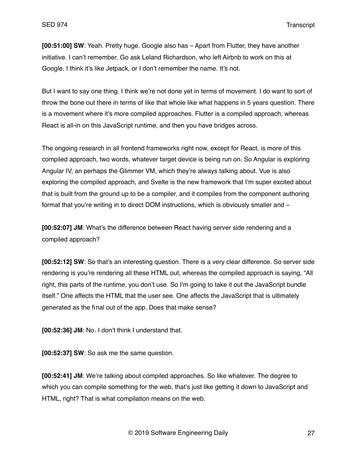**[00:51:00] SW**: Yeah. Pretty huge. Google also has – Apart from Flutter, they have another initiative. I can't remember. Go ask Leland Richardson, who left Airbnb to work on this at Google. I think it's like Jetpack, or I don't remember the name. It's not.

But I want to say one thing. I think we're not done yet in terms of movement. I do want to sort of throw the bone out there in terms of like that whole like what happens in 5 years question. There is a movement where it's more compiled approaches. Flutter is a compiled approach, whereas React is all-in on this JavaScript runtime, and then you have bridges across.

The ongoing research in all frontend frameworks right now, except for React, is more of this compiled approach, two words, whatever target device is being run on. So Angular is exploring Angular IV, an perhaps the Glimmer VM, which they're always talking about. Vue is also exploring the compiled approach, and Svelte is the new framework that I'm super excited about that is built from the ground up to be a compiler, and it compiles from the component authoring format that you're writing in to direct DOM instructions, which is obviously smaller and –

**[00:52:07] JM**: What's the difference between React having server side rendering and a compiled approach?

**[00:52:12] SW**: So that's an interesting question. There is a very clear difference. So server side rendering is you're rendering all these HTML out, whereas the compiled approach is saying, "All right, this parts of the runtime, you don't use. So I'm going to take it out the JavaScript bundle itself." One affects the HTML that the user see. One affects the JavaScript that is ultimately generated as the final out of the app. Does that make sense?

**[00:52:36] JM**: No. I don't think I understand that.

**[00:52:37] SW**: So ask me the same question.

**[00:52:41] JM**: We're talking about compiled approaches. So like whatever. The degree to which you can compile something for the web, that's just like getting it down to JavaScript and HTML, right? That is what compilation means on the web.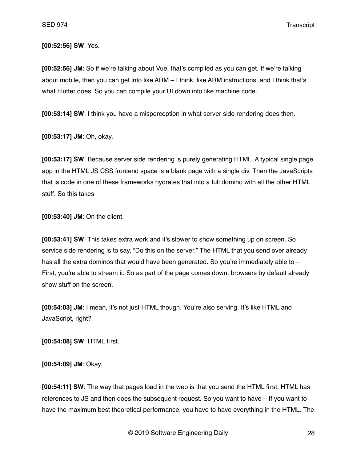**[00:52:56] SW**: Yes.

**[00:52:56] JM**: So if we're talking about Vue, that's compiled as you can get. If we're talking about mobile, then you can get into like ARM – I think, like ARM instructions, and I think that's what Flutter does. So you can compile your UI down into like machine code.

**[00:53:14] SW**: I think you have a misperception in what server side rendering does then.

**[00:53:17] JM**: Oh, okay.

**[00:53:17] SW**: Because server side rendering is purely generating HTML. A typical single page app in the HTML JS CSS frontend space is a blank page with a single div. Then the JavaScripts that is code in one of these frameworks hydrates that into a full domino with all the other HTML stuff. So this takes –

**[00:53:40] JM**: On the client.

**[00:53:41] SW**: This takes extra work and it's slower to show something up on screen. So service side rendering is to say, "Do this on the server." The HTML that you send over already has all the extra dominos that would have been generated. So you're immediately able to  $-$ First, you're able to stream it. So as part of the page comes down, browsers by default already show stuff on the screen.

**[00:54:03] JM**: I mean, it's not just HTML though. You're also serving. It's like HTML and JavaScript, right?

**[00:54:08] SW**: HTML first.

**[00:54:09] JM**: Okay.

**[00:54:11] SW**: The way that pages load in the web is that you send the HTML first. HTML has references to JS and then does the subsequent request. So you want to have – If you want to have the maximum best theoretical performance, you have to have everything in the HTML. The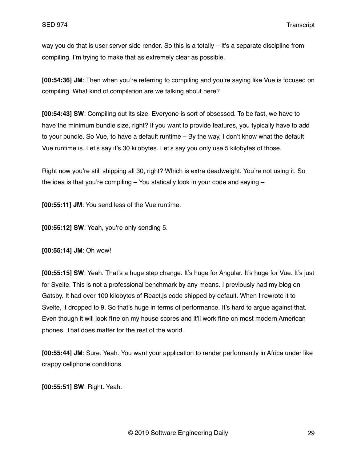way you do that is user server side render. So this is a totally – It's a separate discipline from compiling. I'm trying to make that as extremely clear as possible.

**[00:54:36] JM**: Then when you're referring to compiling and you're saying like Vue is focused on compiling. What kind of compilation are we talking about here?

**[00:54:43] SW**: Compiling out its size. Everyone is sort of obsessed. To be fast, we have to have the minimum bundle size, right? If you want to provide features, you typically have to add to your bundle. So Vue, to have a default runtime – By the way, I don't know what the default Vue runtime is. Let's say it's 30 kilobytes. Let's say you only use 5 kilobytes of those.

Right now you're still shipping all 30, right? Which is extra deadweight. You're not using it. So the idea is that you're compiling – You statically look in your code and saying –

**[00:55:11] JM**: You send less of the Vue runtime.

**[00:55:12] SW**: Yeah, you're only sending 5.

**[00:55:14] JM**: Oh wow!

**[00:55:15] SW**: Yeah. That's a huge step change. It's huge for Angular. It's huge for Vue. It's just for Svelte. This is not a professional benchmark by any means. I previously had my blog on Gatsby. It had over 100 kilobytes of React.js code shipped by default. When I rewrote it to Svelte, it dropped to 9. So that's huge in terms of performance. It's hard to argue against that. Even though it will look fine on my house scores and it'll work fine on most modern American phones. That does matter for the rest of the world.

**[00:55:44] JM**: Sure. Yeah. You want your application to render performantly in Africa under like crappy cellphone conditions.

**[00:55:51] SW**: Right. Yeah.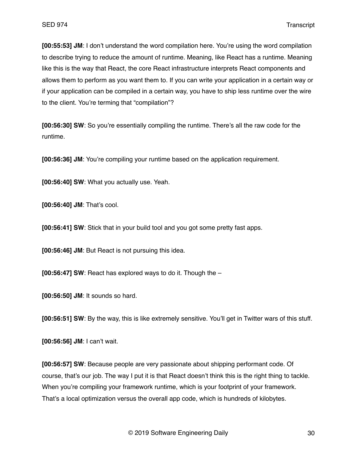**[00:55:53] JM**: I don't understand the word compilation here. You're using the word compilation to describe trying to reduce the amount of runtime. Meaning, like React has a runtime. Meaning like this is the way that React, the core React infrastructure interprets React components and allows them to perform as you want them to. If you can write your application in a certain way or if your application can be compiled in a certain way, you have to ship less runtime over the wire to the client. You're terming that "compilation"?

**[00:56:30] SW**: So you're essentially compiling the runtime. There's all the raw code for the runtime.

**[00:56:36] JM**: You're compiling your runtime based on the application requirement.

**[00:56:40] SW**: What you actually use. Yeah.

**[00:56:40] JM**: That's cool.

**[00:56:41] SW**: Stick that in your build tool and you got some pretty fast apps.

**[00:56:46] JM**: But React is not pursuing this idea.

**[00:56:47] SW**: React has explored ways to do it. Though the –

**[00:56:50] JM**: It sounds so hard.

**[00:56:51] SW**: By the way, this is like extremely sensitive. You'll get in Twitter wars of this stuff.

**[00:56:56] JM**: I can't wait.

**[00:56:57] SW**: Because people are very passionate about shipping performant code. Of course, that's our job. The way I put it is that React doesn't think this is the right thing to tackle. When you're compiling your framework runtime, which is your footprint of your framework. That's a local optimization versus the overall app code, which is hundreds of kilobytes.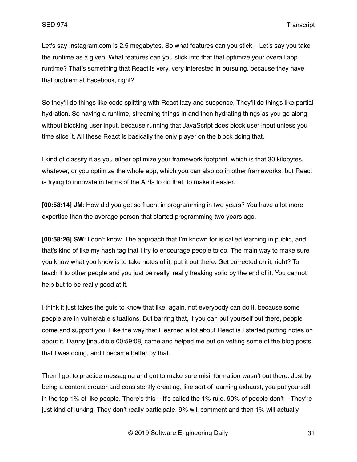Let's say Instagram.com is 2.5 megabytes. So what features can you stick – Let's say you take the runtime as a given. What features can you stick into that that optimize your overall app runtime? That's something that React is very, very interested in pursuing, because they have that problem at Facebook, right?

So they'll do things like code splitting with React lazy and suspense. They'll do things like partial hydration. So having a runtime, streaming things in and then hydrating things as you go along without blocking user input, because running that JavaScript does block user input unless you time slice it. All these React is basically the only player on the block doing that.

I kind of classify it as you either optimize your framework footprint, which is that 30 kilobytes, whatever, or you optimize the whole app, which you can also do in other frameworks, but React is trying to innovate in terms of the APIs to do that, to make it easier.

**[00:58:14] JM**: How did you get so fluent in programming in two years? You have a lot more expertise than the average person that started programming two years ago.

**[00:58:26] SW**: I don't know. The approach that I'm known for is called learning in public, and that's kind of like my hash tag that I try to encourage people to do. The main way to make sure you know what you know is to take notes of it, put it out there. Get corrected on it, right? To teach it to other people and you just be really, really freaking solid by the end of it. You cannot help but to be really good at it.

I think it just takes the guts to know that like, again, not everybody can do it, because some people are in vulnerable situations. But barring that, if you can put yourself out there, people come and support you. Like the way that I learned a lot about React is I started putting notes on about it. Danny [inaudible 00:59:08] came and helped me out on vetting some of the blog posts that I was doing, and I became better by that.

Then I got to practice messaging and got to make sure misinformation wasn't out there. Just by being a content creator and consistently creating, like sort of learning exhaust, you put yourself in the top 1% of like people. There's this  $-$  It's called the 1% rule. 90% of people don't – They're just kind of lurking. They don't really participate. 9% will comment and then 1% will actually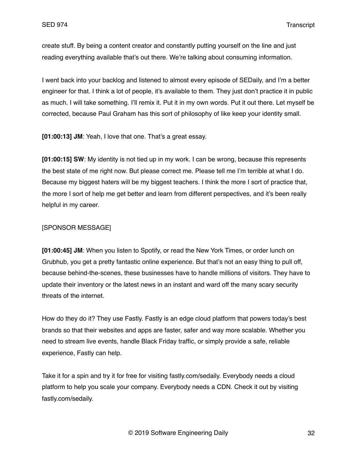create stuff. By being a content creator and constantly putting yourself on the line and just reading everything available that's out there. We're talking about consuming information.

I went back into your backlog and listened to almost every episode of SEDaily, and I'm a better engineer for that. I think a lot of people, it's available to them. They just don't practice it in public as much. I will take something. I'll remix it. Put it in my own words. Put it out there. Let myself be corrected, because Paul Graham has this sort of philosophy of like keep your identity small.

**[01:00:13] JM**: Yeah, I love that one. That's a great essay.

**[01:00:15] SW**: My identity is not tied up in my work. I can be wrong, because this represents the best state of me right now. But please correct me. Please tell me I'm terrible at what I do. Because my biggest haters will be my biggest teachers. I think the more I sort of practice that, the more I sort of help me get better and learn from different perspectives, and it's been really helpful in my career.

#### [SPONSOR MESSAGE]

**[01:00:45] JM**: When you listen to Spotify, or read the New York Times, or order lunch on Grubhub, you get a pretty fantastic online experience. But that's not an easy thing to pull off, because behind-the-scenes, these businesses have to handle millions of visitors. They have to update their inventory or the latest news in an instant and ward off the many scary security threats of the internet.

How do they do it? They use Fastly. Fastly is an edge cloud platform that powers today's best brands so that their websites and apps are faster, safer and way more scalable. Whether you need to stream live events, handle Black Friday traffic, or simply provide a safe, reliable experience, Fastly can help.

Take it for a spin and try it for free for visiting fastly.com/sedaily. Everybody needs a cloud platform to help you scale your company. Everybody needs a CDN. Check it out by visiting fastly.com/sedaily.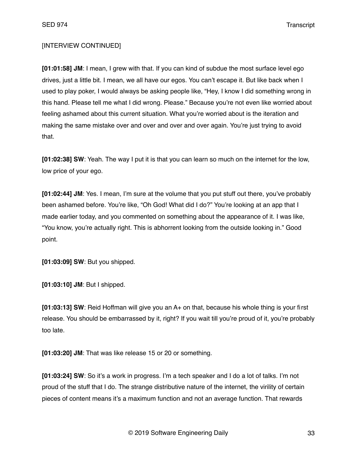# [INTERVIEW CONTINUED]

**[01:01:58] JM**: I mean, I grew with that. If you can kind of subdue the most surface level ego drives, just a little bit. I mean, we all have our egos. You can't escape it. But like back when I used to play poker, I would always be asking people like, "Hey, I know I did something wrong in this hand. Please tell me what I did wrong. Please." Because you're not even like worried about feeling ashamed about this current situation. What you're worried about is the iteration and making the same mistake over and over and over and over again. You're just trying to avoid that.

**[01:02:38] SW**: Yeah. The way I put it is that you can learn so much on the internet for the low, low price of your ego.

**[01:02:44] JM**: Yes. I mean, I'm sure at the volume that you put stuff out there, you've probably been ashamed before. You're like, "Oh God! What did I do?" You're looking at an app that I made earlier today, and you commented on something about the appearance of it. I was like, "You know, you're actually right. This is abhorrent looking from the outside looking in." Good point.

**[01:03:09] SW**: But you shipped.

**[01:03:10] JM**: But I shipped.

**[01:03:13] SW**: Reid Hoffman will give you an A+ on that, because his whole thing is your first release. You should be embarrassed by it, right? If you wait till you're proud of it, you're probably too late.

**[01:03:20] JM**: That was like release 15 or 20 or something.

**[01:03:24] SW**: So it's a work in progress. I'm a tech speaker and I do a lot of talks. I'm not proud of the stuff that I do. The strange distributive nature of the internet, the virility of certain pieces of content means it's a maximum function and not an average function. That rewards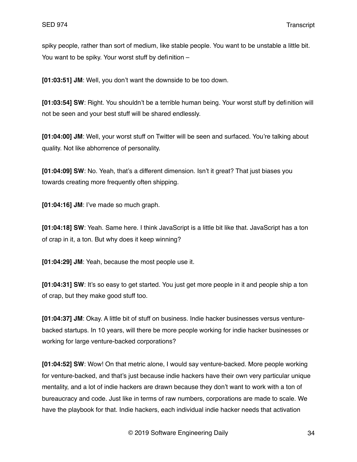spiky people, rather than sort of medium, like stable people. You want to be unstable a little bit. You want to be spiky. Your worst stuff by definition –

**[01:03:51] JM**: Well, you don't want the downside to be too down.

**[01:03:54] SW**: Right. You shouldn't be a terrible human being. Your worst stuff by definition will not be seen and your best stuff will be shared endlessly.

**[01:04:00] JM**: Well, your worst stuff on Twitter will be seen and surfaced. You're talking about quality. Not like abhorrence of personality.

**[01:04:09] SW**: No. Yeah, that's a different dimension. Isn't it great? That just biases you towards creating more frequently often shipping.

**[01:04:16] JM**: I've made so much graph.

**[01:04:18] SW**: Yeah. Same here. I think JavaScript is a little bit like that. JavaScript has a ton of crap in it, a ton. But why does it keep winning?

**[01:04:29] JM**: Yeah, because the most people use it.

**[01:04:31] SW**: It's so easy to get started. You just get more people in it and people ship a ton of crap, but they make good stuff too.

**[01:04:37] JM**: Okay. A little bit of stuff on business. Indie hacker businesses versus venturebacked startups. In 10 years, will there be more people working for indie hacker businesses or working for large venture-backed corporations?

**[01:04:52] SW**: Wow! On that metric alone, I would say venture-backed. More people working for venture-backed, and that's just because indie hackers have their own very particular unique mentality, and a lot of indie hackers are drawn because they don't want to work with a ton of bureaucracy and code. Just like in terms of raw numbers, corporations are made to scale. We have the playbook for that. Indie hackers, each individual indie hacker needs that activation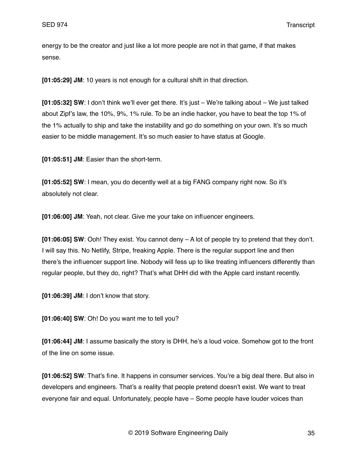energy to be the creator and just like a lot more people are not in that game, if that makes sense.

**[01:05:29] JM**: 10 years is not enough for a cultural shift in that direction.

**[01:05:32] SW**: I don't think we'll ever get there. It's just – We're talking about – We just talked about Zipf's law, the 10%, 9%, 1% rule. To be an indie hacker, you have to beat the top 1% of the 1% actually to ship and take the instability and go do something on your own. It's so much easier to be middle management. It's so much easier to have status at Google.

**[01:05:51] JM**: Easier than the short-term.

**[01:05:52] SW**: I mean, you do decently well at a big FANG company right now. So it's absolutely not clear.

**[01:06:00] JM**: Yeah, not clear. Give me your take on influencer engineers.

**[01:06:05] SW**: Ooh! They exist. You cannot deny – A lot of people try to pretend that they don't. I will say this. No Netlify, Stripe, freaking Apple. There is the regular support line and then there's the influencer support line. Nobody will fess up to like treating influencers differently than regular people, but they do, right? That's what DHH did with the Apple card instant recently.

**[01:06:39] JM**: I don't know that story.

**[01:06:40] SW**: Oh! Do you want me to tell you?

**[01:06:44] JM**: I assume basically the story is DHH, he's a loud voice. Somehow got to the front of the line on some issue.

**[01:06:52] SW**: That's fine. It happens in consumer services. You're a big deal there. But also in developers and engineers. That's a reality that people pretend doesn't exist. We want to treat everyone fair and equal. Unfortunately, people have – Some people have louder voices than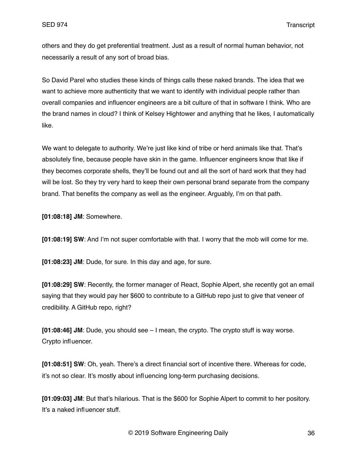others and they do get preferential treatment. Just as a result of normal human behavior, not necessarily a result of any sort of broad bias.

So David Parel who studies these kinds of things calls these naked brands. The idea that we want to achieve more authenticity that we want to identify with individual people rather than overall companies and influencer engineers are a bit culture of that in software I think. Who are the brand names in cloud? I think of Kelsey Hightower and anything that he likes, I automatically like.

We want to delegate to authority. We're just like kind of tribe or herd animals like that. That's absolutely fine, because people have skin in the game. Influencer engineers know that like if they becomes corporate shells, they'll be found out and all the sort of hard work that they had will be lost. So they try very hard to keep their own personal brand separate from the company brand. That benefits the company as well as the engineer. Arguably, I'm on that path.

**[01:08:18] JM**: Somewhere.

**[01:08:19] SW**: And I'm not super comfortable with that. I worry that the mob will come for me.

**[01:08:23] JM**: Dude, for sure. In this day and age, for sure.

**[01:08:29] SW**: Recently, the former manager of React, Sophie Alpert, she recently got an email saying that they would pay her \$600 to contribute to a GitHub repo just to give that veneer of credibility. A GitHub repo, right?

**[01:08:46] JM**: Dude, you should see – I mean, the crypto. The crypto stuff is way worse. Crypto influencer.

**[01:08:51] SW**: Oh, yeah. There's a direct financial sort of incentive there. Whereas for code, it's not so clear. It's mostly about influencing long-term purchasing decisions.

**[01:09:03] JM**: But that's hilarious. That is the \$600 for Sophie Alpert to commit to her pository. It's a naked influencer stuff.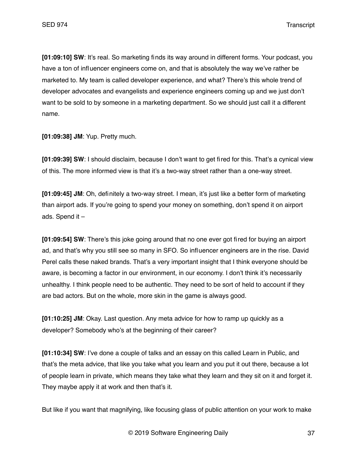**[01:09:10] SW**: It's real. So marketing finds its way around in different forms. Your podcast, you have a ton of influencer engineers come on, and that is absolutely the way we've rather be marketed to. My team is called developer experience, and what? There's this whole trend of developer advocates and evangelists and experience engineers coming up and we just don't want to be sold to by someone in a marketing department. So we should just call it a different name.

**[01:09:38] JM**: Yup. Pretty much.

**[01:09:39] SW**: I should disclaim, because I don't want to get fired for this. That's a cynical view of this. The more informed view is that it's a two-way street rather than a one-way street.

**[01:09:45] JM**: Oh, definitely a two-way street. I mean, it's just like a better form of marketing than airport ads. If you're going to spend your money on something, don't spend it on airport ads. Spend it –

**[01:09:54] SW**: There's this joke going around that no one ever got fired for buying an airport ad, and that's why you still see so many in SFO. So influencer engineers are in the rise. David Perel calls these naked brands. That's a very important insight that I think everyone should be aware, is becoming a factor in our environment, in our economy. I don't think it's necessarily unhealthy. I think people need to be authentic. They need to be sort of held to account if they are bad actors. But on the whole, more skin in the game is always good.

**[01:10:25] JM**: Okay. Last question. Any meta advice for how to ramp up quickly as a developer? Somebody who's at the beginning of their career?

**[01:10:34] SW**: I've done a couple of talks and an essay on this called Learn in Public, and that's the meta advice, that like you take what you learn and you put it out there, because a lot of people learn in private, which means they take what they learn and they sit on it and forget it. They maybe apply it at work and then that's it.

But like if you want that magnifying, like focusing glass of public attention on your work to make

© 2019 Software Engineering Daily 37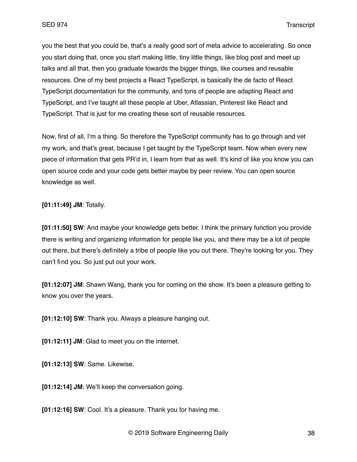you the best that you could be, that's a really good sort of meta advice to accelerating. So once you start doing that, once you start making little, tiny little things, like blog post and meet up talks and all that, then you graduate towards the bigger things, like courses and reusable resources. One of my best projects a React TypeScript, is basically the de facto of React TypeScript documentation for the community, and tons of people are adapting React and TypeScript, and I've taught all these people at Uber, Atlassian, Pinterest like React and TypeScript. That is just for me creating these sort of reusable resources.

Now, first of all, I'm a thing. So therefore the TypeScript community has to go through and vet my work, and that's great, because I get taught by the TypeScript team. Now when every new piece of information that gets PR'd in, I learn from that as well. It's kind of like you know you can open source code and your code gets better maybe by peer review. You can open source knowledge as well.

**[01:11:49] JM**: Totally.

**[01:11:50] SW**: And maybe your knowledge gets better. I think the primary function you provide there is writing and organizing information for people like you, and there may be a lot of people out there, but there's definitely a tribe of people like you out there. They're looking for you. They can't find you. So just put out your work.

**[01:12:07] JM**: Shawn Wang, thank you for coming on the show. It's been a pleasure getting to know you over the years.

**[01:12:10] SW**: Thank you. Always a pleasure hanging out.

**[01:12:11] JM**: Glad to meet you on the internet.

**[01:12:13] SW**: Same. Likewise.

**[01:12:14] JM**: We'll keep the conversation going.

**[01:12:16] SW**: Cool. It's a pleasure. Thank you for having me.